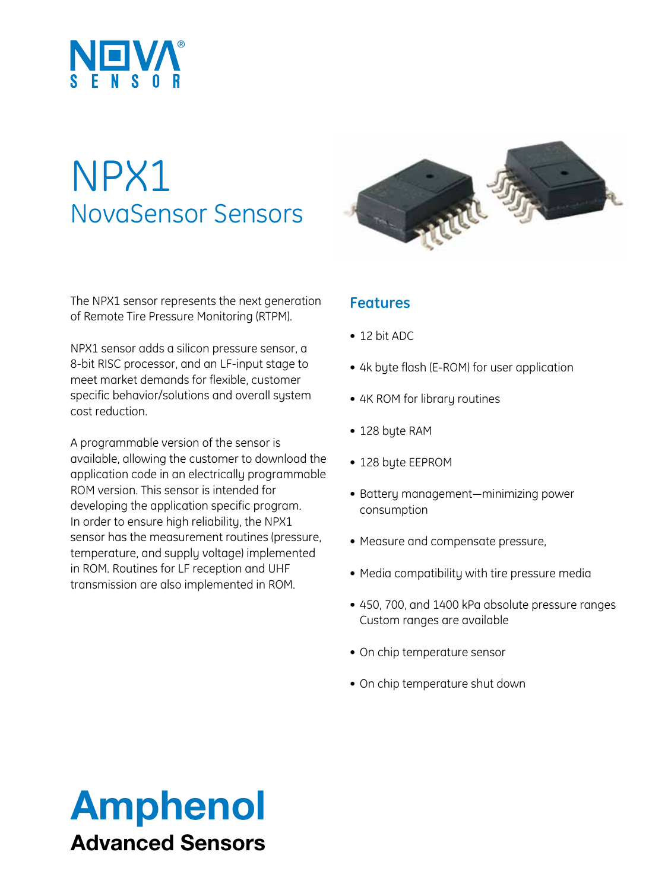

# NPX1 NovaSensor Sensors

The NPX1 sensor represents the next generation of Remote Tire Pressure Monitoring (RTPM).

NPX1 sensor adds a silicon pressure sensor, a 8-bit RISC processor, and an LF-input stage to meet market demands for flexible, customer specific behavior/solutions and overall system cost reduction.

A programmable version of the sensor is available, allowing the customer to download the application code in an electrically programmable ROM version. This sensor is intended for developing the application specific program. In order to ensure high reliability, the NPX1 sensor has the measurement routines (pressure, temperature, and supply voltage) implemented in ROM. Routines for LF reception and UHF transmission are also implemented in ROM.



#### **Features**

- 12 bit ADC
- 4k byte flash (E-ROM) for user application
- 4K ROM for library routines
- 128 byte RAM
- 128 byte EEPROM
- • Battery management—minimizing power consumption
- Measure and compensate pressure,
- Media compatibility with tire pressure media
- • 450, 700, and 1400 kPa absolute pressure ranges Custom ranges are available
- On chip temperature sensor
- On chip temperature shut down

## Amphenol Advanced Sensors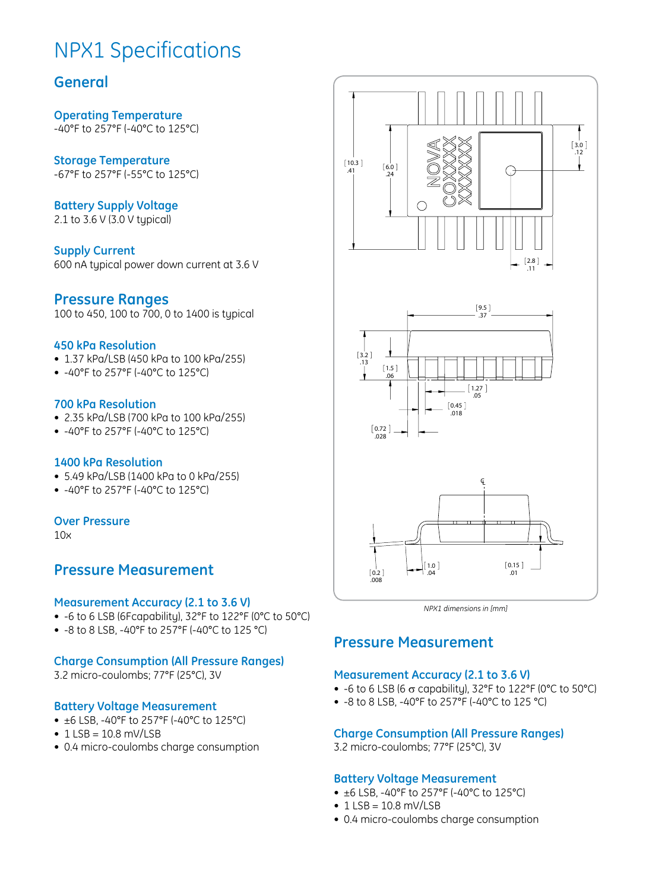## NPX1 Specifications

#### **General**

**Operating Temperature** -40°F to 257°F (-40°C to 125°C)

**Storage Temperature** -67°F to 257°F (-55°C to 125°C)

**Battery Supply Voltage** 2.1 to 3.6 V (3.0 V typical)

**Supply Current** 600 nA typical power down current at 3.6 V

#### **Pressure Ranges**

100 to 450, 100 to 700, 0 to 1400 is typical

#### **450 kPa Resolution**

- 1.37 kPa/LSB (450 kPa to 100 kPa/255)
- -40°F to 257°F (-40°C to 125°C)

#### **700 kPa Resolution**

- • 2.35 kPa/LSB (700 kPa to 100 kPa/255)
- -40°F to 257°F (-40°C to 125°C)

#### **1400 kPa Resolution**

- • 5.49 kPa/LSB (1400 kPa to 0 kPa/255)
- -40°F to 257°F (-40°C to 125°C)

#### **Over Pressure**

10x

#### **Pressure Measurement**

#### **Measurement Accuracy (2.1 to 3.6 V)**

- $\bullet$  -6 to 6 LSB (6Fcapability), 32°F to 122°F (0°C to 50°C)
- • -8 to 8 LSB, -40°F to 257°F (-40°C to 125 °C)

#### **Charge Consumption (All Pressure Ranges)**

3.2 micro-coulombs; 77°F (25°C), 3V

#### **Battery Voltage Measurement**

- $\bullet$  ±6 LSB, -40°F to 257°F (-40°C to 125°C)
- $\cdot$  1 LSB = 10.8 mV/LSB
- 0.4 micro-coulombs charge consumption



*NPX1 dimensions in [mm]*

#### **Pressure Measurement**

#### **Measurement Accuracy (2.1 to 3.6 V)**

- -6 to 6 LSB (6  $\sigma$  capability), 32°F to 122°F (0°C to 50°C)
- • -8 to 8 LSB, -40°F to 257°F (-40°C to 125 °C)

#### **Charge Consumption (All Pressure Ranges)**

3.2 micro-coulombs; 77°F (25°C), 3V

#### **Battery Voltage Measurement**

- $\bullet$  ±6 LSB, -40°F to 257°F (-40°C to 125°C)
- $\cdot$  1 LSB = 10.8 mV/LSB
- 0.4 micro-coulombs charge consumption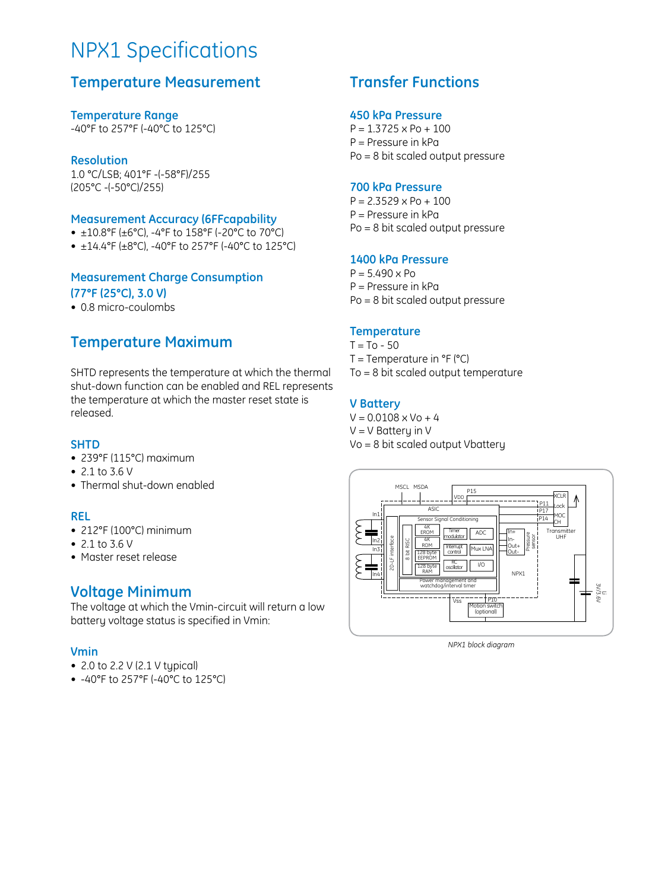## NPX1 Specifications

#### **Temperature Measurement**

**Temperature Range** -40°F to 257°F (-40°C to 125°C)

**Resolution** 1.0 °C/LSB; 401°F -(-58°F)/255 (205°C -(-50°C)/255)

#### **Measurement Accuracy (6FFcapability**

- $\pm$ 10.8°F ( $\pm$ 6°C), -4°F to 158°F (-20°C to 70°C)
- $\pm$ 14.4°F ( $\pm$ 8°C), -40°F to 257°F (-40°C to 125°C)

#### **Measurement Charge Consumption (77°F (25°C), 3.0 V)**

• 0.8 micro-coulombs

#### **Temperature Maximum**

SHTD represents the temperature at which the thermal shut-down function can be enabled and REL represents the temperature at which the master reset state is released.

#### **SHTD**

- • 239°F (115°C) maximum
- 2.1 to 3.6 V
- Thermal shut-down enabled

#### **REL**

- $\bullet$  212°F (100°C) minimum
- $2.1 to 3.6 V$
- • Master reset release

#### **Voltage Minimum**

The voltage at which the Vmin-circuit will return a low battery voltage status is specified in Vmin:

#### **Vmin**

- 2.0 to 2.2 V (2.1 V typical)
- • -40°F to 257°F (-40°C to 125°C)

#### **Transfer Functions**

#### **450 kPa Pressure**

 $P = 1.3725 \times Po + 100$ P = Pressure in kPa Po = 8 bit scaled output pressure

#### **700 kPa Pressure**

 $P = 2.3529 \times Po + 100$ P = Pressure in kPa Po = 8 bit scaled output pressure

#### **1400 kPa Pressure**

 $P = 5.490 \times Po$ P = Pressure in kPa Po = 8 bit scaled output pressure

#### **Temperature**

 $T = To - 50$  $T =$  Temperature in  ${}^{\circ}F$  ( ${}^{\circ}C$ ) To = 8 bit scaled output temperature

#### **V Battery**

 $V = 0.0108 \times V_0 + 4$  $V = V$  Battery in V Vo = 8 bit scaled output Vbattery



*NPX1 block diagram*